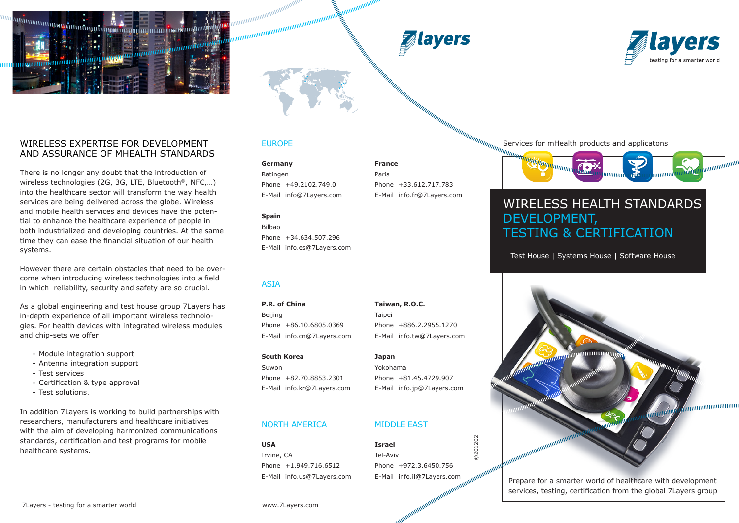





### WIRELESS EXPERTISE FOR DEVELOPMENT AND ASSURANCE OF MHEALTH STANDARDS

There is no longer any doubt that the introduction of wireless technologies (2G, 3G, LTE, Bluetooth®, NFC,…) into the healthcare sector will transform the way health services are being delivered across the globe. Wireless and mobile health services and devices have the potential to enhance the healthcare experience of people in both industrialized and developing countries. At the same time they can ease the financial situation of our health systems.

However there are certain obstacles that need to be overcome when introducing wireless technologies into a field in which reliability, security and safety are so crucial.

As a global engineering and test house group 7Layers has in-depth experience of all important wireless technologies. For health devices with integrated wireless modules and chip-sets we offer

- Module integration support
- Antenna integration support
- Test services
- Certification & type approval
- Test solutions.

In addition 7Layers is working to build partnerships with researchers, manufacturers and healthcare initiatives with the aim of developing harmonized communications standards, certification and test programs for mobile healthcare systems.

## EUROPE

maanaanaanaanaanaanaanaanaanaa<br>maanaanaanaanaanaanaanaanaanaa

**Germany France** Ratingen Paris

Phone +49.2102.749.0 Phone +33.612.717.783

### **Spain**

Bilbao Phone +34.634.507.296 E-Mail info.es@7Layers.com

## ASIA

**P.R. of China Taiwan, R.O.C.** Beijing **Taipei** Phone +86.10.6805.0369 Phone +886.2.2955.1270

**South Korea Japan** Suwon Yokohama

## NORTH AMERICA MIDDLE EAST

**USA Israel** Phone +1.949.716.6512 Phone +972.3.6450.756 E-Mail info.us@7Layers.com E-Mail info.il@7Layers.com

E-Mail info@7Layers.com E-Mail info.fr@7Layers.com

Services for mHealth products and applicatons



# WIRELESS HEALTH STANDARDS DEVELOPMENT, TESTING & CERTIFICATION

Test House | Systems House | Software House



Prepare for a smarter world of healthcare with development services, testing, certification from the global 7Layers group

E-Mail info.cn@7Layers.com E-Mail info.tw@7Layers.com

Phone +82.70.8853.2301 Phone +81.45.4729.907 E-Mail info.kr@7Layers.com E-Mail info.jp@7Layers.com

Irvine, CA Tel-Aviv

©201202

0201202